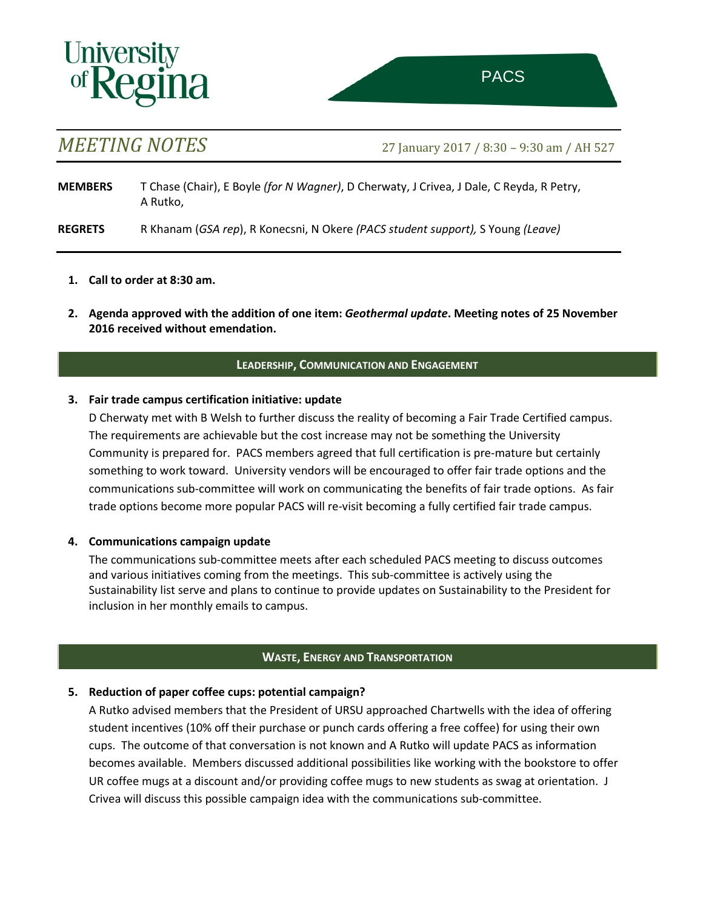# **Univers**

*MEETING NOTES* 27 January <sup>2017</sup> / 8:30 – 9:30 am / AH 527

**MEMBERS** T Chase (Chair), E Boyle *(for N Wagner)*, D Cherwaty, J Crivea, J Dale, C Reyda, R Petry, A Rutko,

**REGRETS** R Khanam (*GSA rep*), R Konecsni, N Okere *(PACS student support),* S Young *(Leave)*

- **1. Call to order at 8:30 am.**
- **2. Agenda approved with the addition of one item:** *Geothermal update***. Meeting notes of 25 November 2016 received without emendation.**

# **LEADERSHIP, COMMUNICATION AND ENGAGEMENT**

## **3. Fair trade campus certification initiative: update**

D Cherwaty met with B Welsh to further discuss the reality of becoming a Fair Trade Certified campus. The requirements are achievable but the cost increase may not be something the University Community is prepared for. PACS members agreed that full certification is pre-mature but certainly something to work toward. University vendors will be encouraged to offer fair trade options and the communications sub-committee will work on communicating the benefits of fair trade options. As fair trade options become more popular PACS will re-visit becoming a fully certified fair trade campus.

## **4. Communications campaign update**

The communications sub-committee meets after each scheduled PACS meeting to discuss outcomes and various initiatives coming from the meetings. This sub-committee is actively using the Sustainability list serve and plans to continue to provide updates on Sustainability to the President for inclusion in her monthly emails to campus.

# **WASTE, ENERGY AND TRANSPORTATION**

# **5. Reduction of paper coffee cups: potential campaign?**

A Rutko advised members that the President of URSU approached Chartwells with the idea of offering student incentives (10% off their purchase or punch cards offering a free coffee) for using their own cups. The outcome of that conversation is not known and A Rutko will update PACS as information becomes available. Members discussed additional possibilities like working with the bookstore to offer UR coffee mugs at a discount and/or providing coffee mugs to new students as swag at orientation. J Crivea will discuss this possible campaign idea with the communications sub-committee.